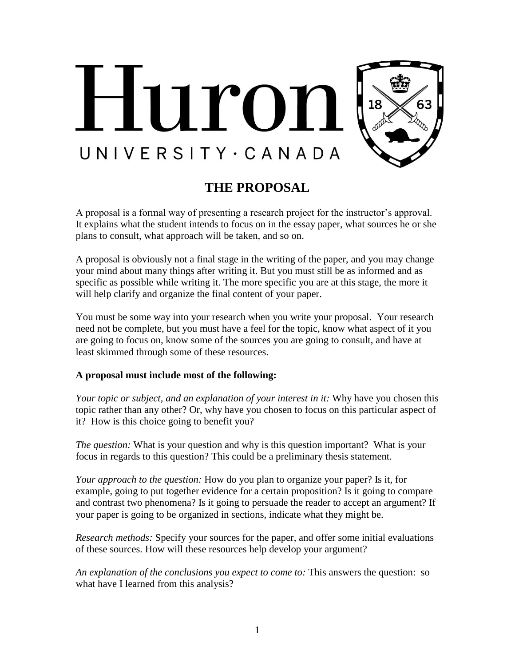

## **THE PROPOSAL**

A proposal is a formal way of presenting a research project for the instructor's approval. It explains what the student intends to focus on in the essay paper, what sources he or she plans to consult, what approach will be taken, and so on.

A proposal is obviously not a final stage in the writing of the paper, and you may change your mind about many things after writing it. But you must still be as informed and as specific as possible while writing it. The more specific you are at this stage, the more it will help clarify and organize the final content of your paper.

You must be some way into your research when you write your proposal. Your research need not be complete, but you must have a feel for the topic, know what aspect of it you are going to focus on, know some of the sources you are going to consult, and have at least skimmed through some of these resources.

## **A proposal must include most of the following:**

*Your topic or subject, and an explanation of your interest in it:* Why have you chosen this topic rather than any other? Or, why have you chosen to focus on this particular aspect of it? How is this choice going to benefit you?

*The question:* What is your question and why is this question important? What is your focus in regards to this question? This could be a preliminary thesis statement.

*Your approach to the question:* How do you plan to organize your paper? Is it, for example, going to put together evidence for a certain proposition? Is it going to compare and contrast two phenomena? Is it going to persuade the reader to accept an argument? If your paper is going to be organized in sections, indicate what they might be.

*Research methods:* Specify your sources for the paper, and offer some initial evaluations of these sources. How will these resources help develop your argument?

*An explanation of the conclusions you expect to come to:* This answers the question: so what have I learned from this analysis?